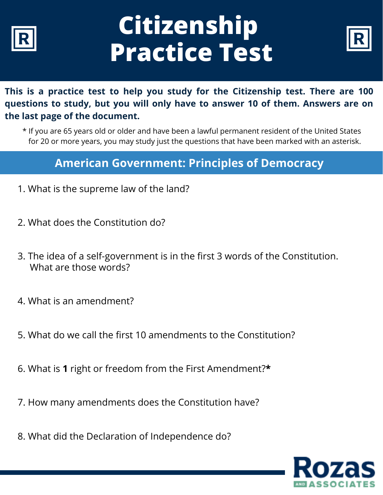

# **Citizenship Practice Test**



**This is a practice test to help you study for the Citizenship test. There are 100 questions to study, but you will only have to answer 10 of them. Answers are on the last page of the document.**

\* If you are 65 years old or older and have been a lawful permanent resident of the United States for 20 or more years, you may study just the questions that have been marked with an asterisk.

#### **American Government: Principles of Democracy**

- 1. What is the supreme law of the land?
- 2. What does the Constitution do?
- What are those words? 3. The idea of a self-government is in the first 3 words of the Constitution.
- 4. What is an amendment?
- 5. What do we call the first 10 amendments to the Constitution?
- 6. What is **1** right or freedom from the First Amendment?**\***
- 7. How many amendments does the Constitution have?
- 8. What did the Declaration of Independence do?

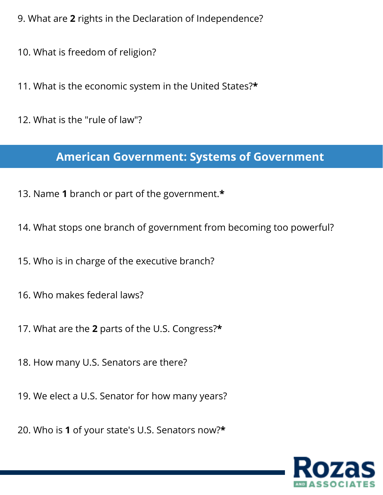9. What are **2** rights in the Declaration of Independence?

- 10. What is freedom of religion?
- 11. What is the economic system in the United States?**\***
- 12. What is the "rule of law"?

## **American Government: Systems of Government**

- 13. Name **1** branch or part of the government.**\***
- 14. What stops one branch of government from becoming too powerful?
- 15. Who is in charge of the executive branch?
- 16. Who makes federal laws?
- 17. What are the **2** parts of the U.S. Congress?**\***
- 18. How many U.S. Senators are there?
- 19. We elect a U.S. Senator for how many years?
- 20. Who is **1** of your state's U.S. Senators now?**\***

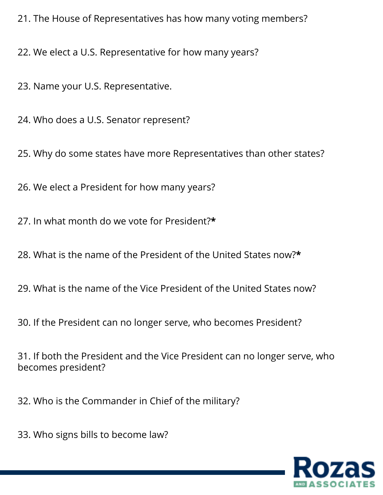21. The House of Representatives has how many voting members?

22. We elect a U.S. Representative for how many years?

23. Name your U.S. Representative.

24. Who does a U.S. Senator represent?

25. Why do some states have more Representatives than other states?

26. We elect a President for how many years?

27. In what month do we vote for President?**\***

28. What is the name of the President of the United States now?**\***

29. What is the name of the Vice President of the United States now?

30. If the President can no longer serve, who becomes President?

31. If both the President and the Vice President can no longer serve, who becomes president?

32. Who is the Commander in Chief of the military?

33. Who signs bills to become law?

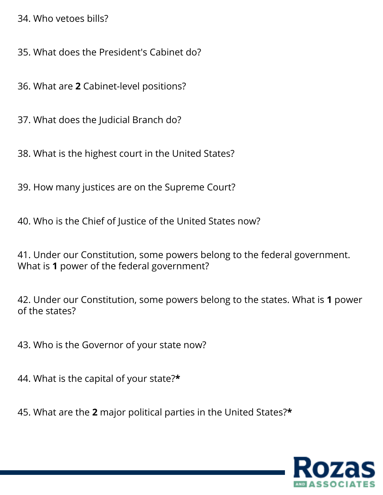34. Who vetoes bills?

35. What does the President's Cabinet do?

36. What are **2** Cabinet-level positions?

37. What does the Judicial Branch do?

38. What is the highest court in the United States?

39. How many justices are on the Supreme Court?

40. Who is the Chief of Justice of the United States now?

41. Under our Constitution, some powers belong to the federal government. What is **1** power of the federal government?

42. Under our Constitution, some powers belong to the states. What is **1** power of the states?

43. Who is the Governor of your state now?

44. What is the capital of your state?**\***

45. What are the **2** major political parties in the United States?**\***

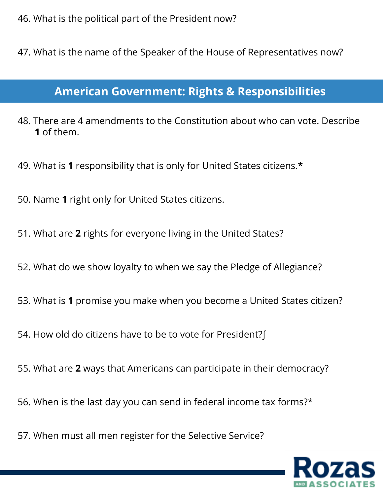46. What is the political part of the President now?

47. What is the name of the Speaker of the House of Representatives now?

#### **American Government: Rights & Responsibilities**

- 48. There are 4 amendments to the Constitution about who can vote. Describe **1** of them.
- 49. What is **1** responsibility that is only for United States citizens.**\***
- 50. Name **1** right only for United States citizens.
- 51. What are **2** rights for everyone living in the United States?
- 52. What do we show loyalty to when we say the Pledge of Allegiance?
- 53. What is **1** promise you make when you become a United States citizen?
- 54. How old do citizens have to be to vote for President?∫
- 55. What are **2** ways that Americans can participate in their democracy?
- 56. When is the last day you can send in federal income tax forms?\*
- 57. When must all men register for the Selective Service?

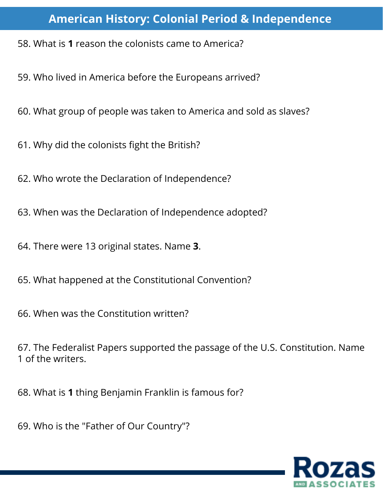#### **American History: Colonial Period & Independence**

- 58. What is **1** reason the colonists came to America?
- 59. Who lived in America before the Europeans arrived?
- 60. What group of people was taken to America and sold as slaves?
- 61. Why did the colonists fight the British?
- 62. Who wrote the Declaration of Independence?
- 63. When was the Declaration of Independence adopted?
- 64. There were 13 original states. Name **3**.
- 65. What happened at the Constitutional Convention?
- 66. When was the Constitution written?
- 67. The Federalist Papers supported the passage of the U.S. Constitution. Name 1 of the writers.
- 68. What is **1** thing Benjamin Franklin is famous for?
- 69. Who is the "Father of Our Country"?

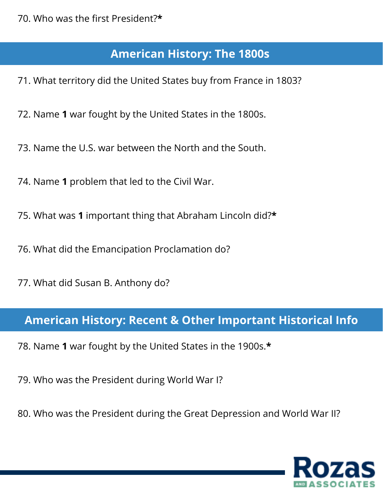## **American History: The 1800s**

71. What territory did the United States buy from France in 1803?

72. Name **1** war fought by the United States in the 1800s.

73. Name the U.S. war between the North and the South.

74. Name **1** problem that led to the Civil War.

75. What was **1** important thing that Abraham Lincoln did?**\***

76. What did the Emancipation Proclamation do?

77. What did Susan B. Anthony do?

## **American History: Recent & Other Important Historical Info**

78. Name **1** war fought by the United States in the 1900s.**\***

79. Who was the President during World War I?

80. Who was the President during the Great Depression and World War II?

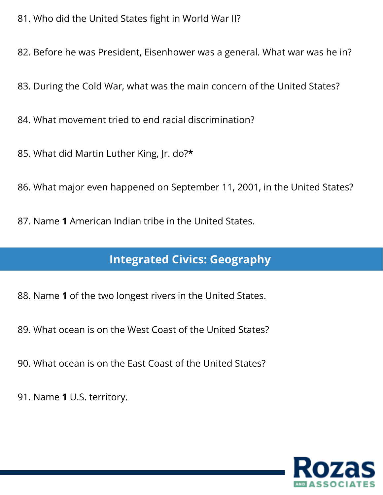81. Who did the United States fight in World War II?

82. Before he was President, Eisenhower was a general. What war was he in?

83. During the Cold War, what was the main concern of the United States?

84. What movement tried to end racial discrimination?

85. What did Martin Luther King, Jr. do?**\***

86. What major even happened on September 11, 2001, in the United States?

87. Name **1** American Indian tribe in the United States.

## **Integrated Civics: Geography**

88. Name **1** of the two longest rivers in the United States.

89. What ocean is on the West Coast of the United States?

90. What ocean is on the East Coast of the United States?

91. Name **1** U.S. territory.

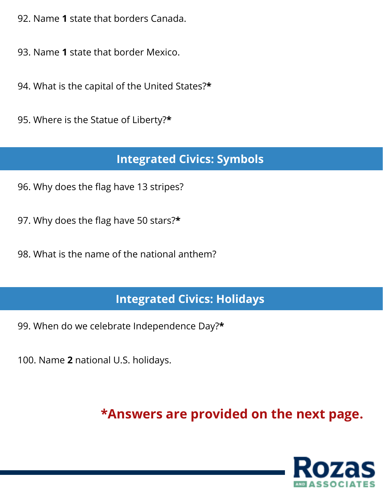92. Name **1** state that borders Canada.

- 93. Name **1** state that border Mexico.
- 94. What is the capital of the United States?**\***
- 95. Where is the Statue of Liberty?**\***

# **Integrated Civics: Symbols**

96. Why does the flag have 13 stripes?

97. Why does the flag have 50 stars?**\***

98. What is the name of the national anthem?

# **Integrated Civics: Holidays**

99. When do we celebrate Independence Day?**\***

100. Name **2** national U.S. holidays.

# **\*Answers are provided on the next page.**

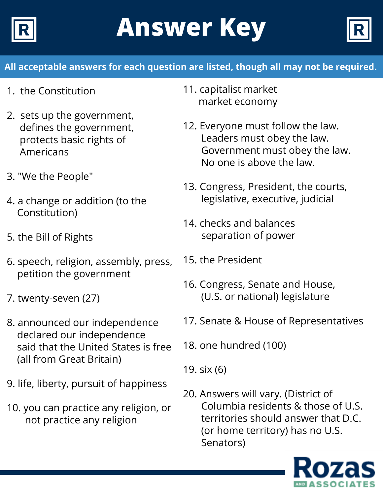



#### **All acceptable answers for each question are listed, though all may not be required.**

- 1. the Constitution
- 2. sets up the government, defines the government, protects basic rights of Americans
- 3. "We the People"
- 4. a change or addition (to the Constitution)
- 5. the Bill of Rights
- 6. speech, religion, assembly, press, petition the government
- 7. twenty-seven (27)
- 8. announced our independence declared our independence said that the United States is free (all from Great Britain)
- 9. life, liberty, pursuit of happiness
- 10. you can practice any religion, or not practice any religion
- 11. capitalist market market economy
- 12. Everyone must follow the law. Leaders must obey the law. Government must obey the law. No one is above the law.
- 13. Congress, President, the courts, legislative, executive, judicial
- 14. checks and balances separation of power
- 15. the President
- 16. Congress, Senate and House, (U.S. or national) legislature
- 17. Senate & House of Representatives
- 18. one hundred (100)
- 19. six (6)
- 20. Answers will vary. (District of Columbia residents & those of U.S. territories should answer that D.C. (or home territory) has no U.S. Senators)

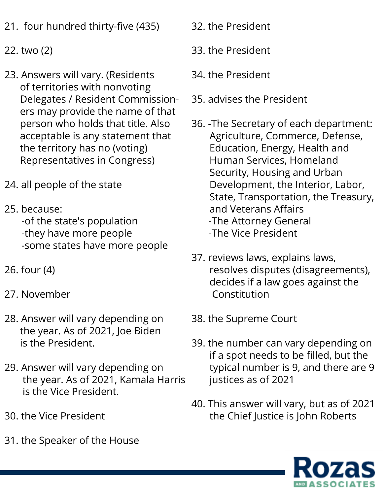21. four hundred thirty-five (435)

#### 22. two (2)

- 23. Answers will vary. (Residents of territories with nonvoting Delegates / Resident Commissioners may provide the name of that person who holds that title. Also acceptable is any statement that the territory has no (voting) Representatives in Congress)
- 24. all people of the state
- 25. because:

-of the state's population -they have more people -some states have more people

- 26. four (4)
- 27. November
- 28. Answer will vary depending on the year. As of 2021, Joe Biden is the President.
- 29. Answer will vary depending on the year. As of 2021, Kamala Harris is the Vice President.
- 30. the Vice President
- 31. the Speaker of the House
- 32. the President
- 33. the President
- 34. the President
- 35. advises the President
- 36. -The Secretary of each department: Agriculture, Commerce, Defense, Education, Energy, Health and Human Services, Homeland Security, Housing and Urban Development, the Interior, Labor, State, Transportation, the Treasury, and Veterans Affairs -The Attorney General -The Vice President
- 37. reviews laws, explains laws, resolves disputes (disagreements), decides if a law goes against the Constitution
- 38. the Supreme Court
- 39. the number can vary depending on if a spot needs to be filled, but the typical number is 9, and there are 9 justices as of 2021
- 40. This answer will vary, but as of 2021 the Chief Justice is John Roberts

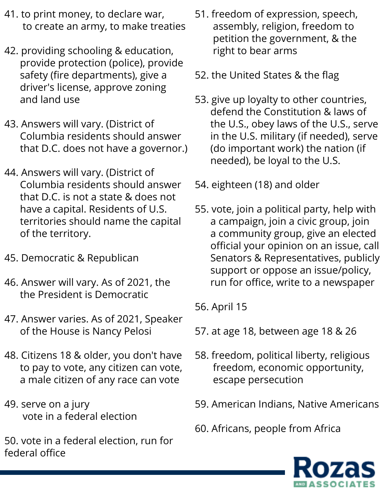- 41. to print money, to declare war, to create an army, to make treaties
- 42. providing schooling & education, provide protection (police), provide safety (fire departments), give a driver's license, approve zoning and land use
- 43. Answers will vary. (District of Columbia residents should answer that D.C. does not have a governor.)
- 44. Answers will vary. (District of Columbia residents should answer that D.C. is not a state & does not have a capital. Residents of U.S. territories should name the capital of the territory.
- 45. Democratic & Republican
- 46. Answer will vary. As of 2021, the the President is Democratic
- 47. Answer varies. As of 2021, Speaker of the House is Nancy Pelosi
- 48. Citizens 18 & older, you don't have to pay to vote, any citizen can vote, a male citizen of any race can vote
- 49. serve on a jury vote in a federal election

50. vote in a federal election, run for federal office

- 51. freedom of expression, speech, assembly, religion, freedom to petition the government, & the right to bear arms
- 52. the United States & the flag
- 53. give up loyalty to other countries, defend the Constitution & laws of the U.S., obey laws of the U.S., serve in the U.S. military (if needed), serve (do important work) the nation (if needed), be loyal to the U.S.
- 54. eighteen (18) and older
- 55. vote, join a political party, help with a campaign, join a civic group, join a community group, give an elected official your opinion on an issue, call Senators & Representatives, publicly support or oppose an issue/policy, run for office, write to a newspaper
- 56. April 15
- 57. at age 18, between age 18 & 26
- 58. freedom, political liberty, religious freedom, economic opportunity, escape persecution
- 59. American Indians, Native Americans
- 60. Africans, people from Africa

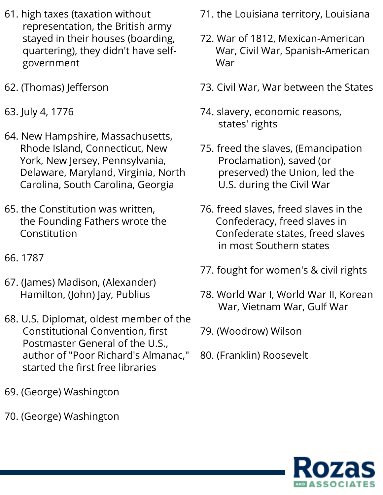- 61. high taxes (taxation without representation, the British army stayed in their houses (boarding, quartering), they didn't have selfgovernment
- 62. (Thomas) Jefferson
- 63. July 4, 1776
- 64. New Hampshire, Massachusetts, Rhode Island, Connecticut, New York, New Jersey, Pennsylvania, Delaware, Maryland, Virginia, North Carolina, South Carolina, Georgia
- 65. the Constitution was written, the Founding Fathers wrote the Constitution
- 66. 1787
- 67. (James) Madison, (Alexander) Hamilton, (John) Jay, Publius
- 68. U.S. Diplomat, oldest member of the Constitutional Convention, first Postmaster General of the U.S., author of "Poor Richard's Almanac," started the first free libraries
- 69. (George) Washington
- 70. (George) Washington
- 71. the Louisiana territory, Louisiana
- 72. War of 1812, Mexican-American War, Civil War, Spanish-American War
- 73. Civil War, War between the States
- 74. slavery, economic reasons, states' rights
- 75. freed the slaves, (Emancipation Proclamation), saved (or preserved) the Union, led the U.S. during the Civil War
- 76. freed slaves, freed slaves in the Confederacy, freed slaves in Confederate states, freed slaves in most Southern states
- 77. fought for women's & civil rights
- 78. World War I, World War II, Korean War, Vietnam War, Gulf War
- 79. (Woodrow) Wilson
- 80. (Franklin) Roosevelt